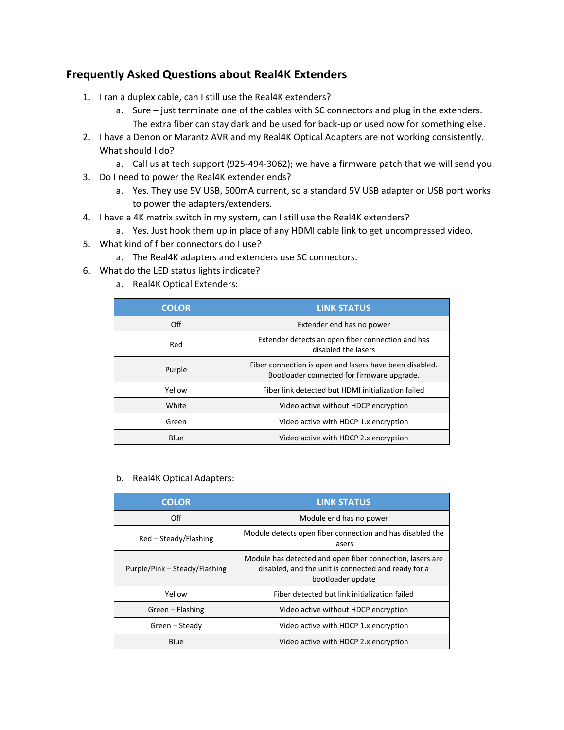## **Frequently Asked Questions about Real4K Extenders**

- 1. I ran a duplex cable, can I still use the Real4K extenders?
	- a. Sure just terminate one of the cables with SC connectors and plug in the extenders. The extra fiber can stay dark and be used for back-up or used now for something else.
- 2. I have a Denon or Marantz AVR and my Real4K Optical Adapters are not working consistently. What should I do?
	- a. Call us at tech support (925-494-3062); we have a firmware patch that we will send you.
- 3. Do I need to power the Real4K extender ends?
	- a. Yes. They use 5V USB, 500mA current, so a standard 5V USB adapter or USB port works to power the adapters/extenders.
- 4. I have a 4K matrix switch in my system, can I still use the Real4K extenders?
	- a. Yes. Just hook them up in place of any HDMI cable link to get uncompressed video.
- 5. What kind of fiber connectors do I use?
	- a. The Real4K adapters and extenders use SC connectors.
- 6. What do the LED status lights indicate?
	- a. Real4K Optical Extenders:

| <b>COLOR</b> | <b>LINK STATUS</b>                                                                                    |
|--------------|-------------------------------------------------------------------------------------------------------|
| Off          | Extender end has no power                                                                             |
| Red          | Extender detects an open fiber connection and has<br>disabled the lasers                              |
| Purple       | Fiber connection is open and lasers have been disabled.<br>Bootloader connected for firmware upgrade. |
| Yellow       | Fiber link detected but HDMI initialization failed                                                    |
| White        | Video active without HDCP encryption                                                                  |
| Green        | Video active with HDCP 1.x encryption                                                                 |
| Blue         | Video active with HDCP 2.x encryption                                                                 |

b. Real4K Optical Adapters:

| <b>COLOR</b>                  | <b>LINK STATUS</b>                                                                                                                    |
|-------------------------------|---------------------------------------------------------------------------------------------------------------------------------------|
| Off                           | Module end has no power                                                                                                               |
| Red – Steady/Flashing         | Module detects open fiber connection and has disabled the<br>lasers                                                                   |
| Purple/Pink – Steady/Flashing | Module has detected and open fiber connection, lasers are<br>disabled, and the unit is connected and ready for a<br>bootloader update |
| Yellow                        | Fiber detected but link initialization failed                                                                                         |
| Green - Flashing              | Video active without HDCP encryption                                                                                                  |
| Green – Steady                | Video active with HDCP 1.x encryption                                                                                                 |
| Blue                          | Video active with HDCP 2.x encryption                                                                                                 |